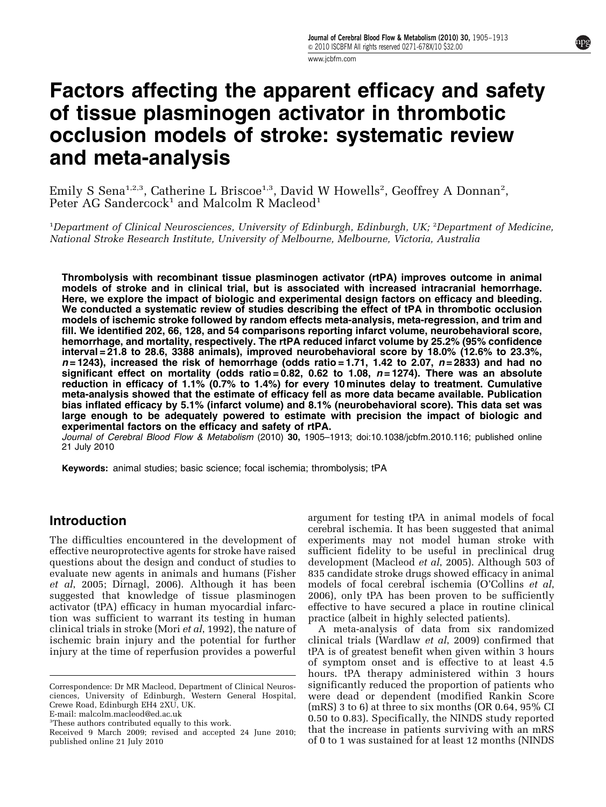# Factors affecting the apparent efficacy and safety of tissue plasminogen activator in thrombotic occlusion models of stroke: systematic review and meta-analysis

Emily S Sena $^{1,2,3}$ , Catherine L Briscoe $^{1,3}$ , David W Howells<sup>2</sup>, Geoffrey A Donnan<sup>2</sup>, Peter AG Sandercock<sup>1</sup> and Malcolm R Macleod<sup>1</sup>

<sup>1</sup>Department of Clinical Neurosciences, University of Edinburgh, Edinburgh, UK; <sup>2</sup>Department of Medicine, National Stroke Research Institute, University of Melbourne, Melbourne, Victoria, Australia

Thrombolysis with recombinant tissue plasminogen activator (rtPA) improves outcome in animal models of stroke and in clinical trial, but is associated with increased intracranial hemorrhage. Here, we explore the impact of biologic and experimental design factors on efficacy and bleeding. We conducted a systematic review of studies describing the effect of tPA in thrombotic occlusion models of ischemic stroke followed by random effects meta-analysis, meta-regression, and trim and fill. We identified 202, 66, 128, and 54 comparisons reporting infarct volume, neurobehavioral score, hemorrhage, and mortality, respectively. The rtPA reduced infarct volume by 25.2% (95% confidence interval = 21.8 to 28.6, 3388 animals), improved neurobehavioral score by 18.0% (12.6% to 23.3%,  $n = 1243$ ), increased the risk of hemorrhage (odds ratio = 1.71, 1.42 to 2.07,  $n = 2833$ ) and had no significant effect on mortality (odds ratio = 0.82, 0.62 to 1.08,  $n = 1274$ ). There was an absolute reduction in efficacy of 1.1% (0.7% to 1.4%) for every 10 minutes delay to treatment. Cumulative meta-analysis showed that the estimate of efficacy fell as more data became available. Publication bias inflated efficacy by 5.1% (infarct volume) and 8.1% (neurobehavioral score). This data set was large enough to be adequately powered to estimate with precision the impact of biologic and experimental factors on the efficacy and safety of rtPA.

Journal of Cerebral Blood Flow & Metabolism (2010) 30, 1905-1913; doi:[10.1038/jcbfm.2010.116;](http://dx.doi.org/10.1038/jcbfm.2010.116) published online 21 July 2010

Keywords: animal studies; basic science; focal ischemia; thrombolysis; tPA

# Introduction

The difficulties encountered in the development of effective neuroprotective agents for stroke have raised questions about the design and conduct of studies to evaluate new agents in animals and humans [\(Fisher](#page-8-0) et al[, 2005](#page-8-0); [Dirnagl, 2006\)](#page-8-0). Although it has been suggested that knowledge of tissue plasminogen activator (tPA) efficacy in human myocardial infarction was sufficient to warrant its testing in human clinical trials in stroke (Mori et al[, 1992\)](#page-8-0), the nature of ischemic brain injury and the potential for further injury at the time of reperfusion provides a powerful

argument for testing tPA in animal models of focal cerebral ischemia. It has been suggested that animal experiments may not model human stroke with sufficient fidelity to be useful in preclinical drug development [\(Macleod](#page-8-0) et al, 2005). Although 503 of 835 candidate stroke drugs showed efficacy in animal models of focal cerebral ischemia [\(O'Collins](#page-8-0) et al, [2006\)](#page-8-0), only tPA has been proven to be sufficiently effective to have secured a place in routine clinical practice (albeit in highly selected patients).

A meta-analysis of data from six randomized clinical trials [\(Wardlaw](#page-8-0) et al, 2009) confirmed that tPA is of greatest benefit when given within 3 hours of symptom onset and is effective to at least 4.5 hours. tPA therapy administered within 3 hours significantly reduced the proportion of patients who were dead or dependent (modified Rankin Score (mRS) 3 to 6) at three to six months (OR 0.64, 95% CI 0.50 to 0.83). Specifically, the NINDS study reported that the increase in patients surviving with an mRS

Correspondence: Dr MR Macleod, Department of Clinical Neurosciences, University of Edinburgh, Western General Hospital, Crewe Road, Edinburgh EH4 2XU, UK. E-mail: [malcolm.macleod@ed.ac.uk](mailto:malcolm.macleod@ed.ac.uk)

<sup>&</sup>lt;sup>3</sup>These authors contributed equally to this work.

Received 9 March 2009; revised and accepted 24 June 2010; that the increase in patients surviving with an mRS<br>of 0 to 1 was sustained for at least 12 months (NINDS) published online 21 July 2010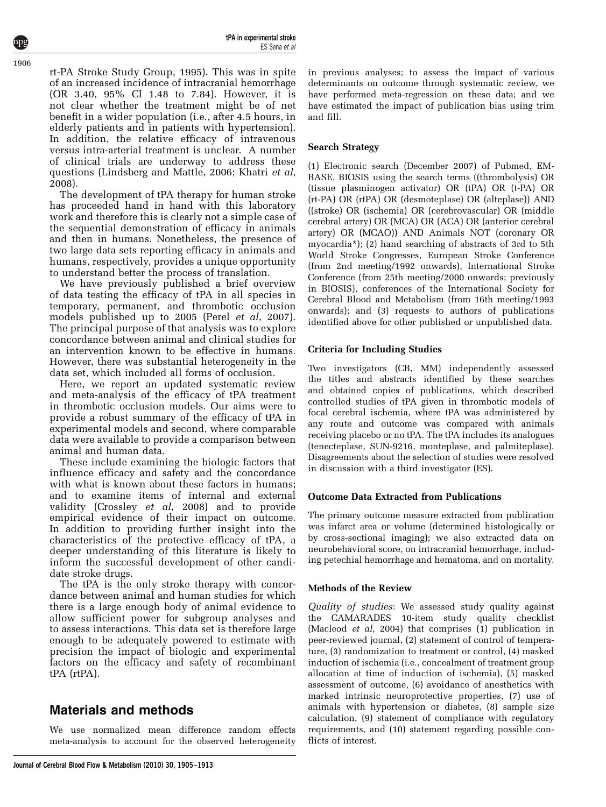rt-PA Stroke Study Group, 1995). This was in spite of an increased incidence of intracranial hemorrhage (OR 3.40, 95% CI 1.48 to 7.84). However, it is not clear whether the treatment might be of net benefit in a wider population (i.e., after 4.5 hours, in elderly patients and in patients with hypertension). In addition, the relative efficacy of intravenous versus intra-arterial treatment is unclear. A number of clinical trials are underway to address these questions ([Lindsberg and Mattle, 2006](#page-8-0); [Khatri](#page-8-0) et al, [2008\)](#page-8-0).

The development of tPA therapy for human stroke has proceeded hand in hand with this laboratory work and therefore this is clearly not a simple case of the sequential demonstration of efficacy in animals and then in humans. Nonetheless, the presence of two large data sets reporting efficacy in animals and humans, respectively, provides a unique opportunity to understand better the process of translation.

We have previously published a brief overview of data testing the efficacy of tPA in all species in temporary, permanent, and thrombotic occlusion models published up to 2005 (Perel et al[, 2007\)](#page-8-0). The principal purpose of that analysis was to explore concordance between animal and clinical studies for an intervention known to be effective in humans. However, there was substantial heterogeneity in the data set, which included all forms of occlusion.

Here, we report an updated systematic review and meta-analysis of the efficacy of tPA treatment in thrombotic occlusion models. Our aims were to provide a robust summary of the efficacy of tPA in experimental models and second, where comparable data were available to provide a comparison between animal and human data.

These include examining the biologic factors that influence efficacy and safety and the concordance with what is known about these factors in humans; and to examine items of internal and external validity ([Crossley](#page-8-0) et al, 2008) and to provide empirical evidence of their impact on outcome. In addition to providing further insight into the characteristics of the protective efficacy of tPA, a deeper understanding of this literature is likely to inform the successful development of other candidate stroke drugs.

The tPA is the only stroke therapy with concordance between animal and human studies for which there is a large enough body of animal evidence to allow sufficient power for subgroup analyses and to assess interactions. This data set is therefore large enough to be adequately powered to estimate with precision the impact of biologic and experimental factors on the efficacy and safety of recombinant tPA (rtPA).

# Materials and methods

We use normalized mean difference random effects meta-analysis to account for the observed heterogeneity in previous analyses; to assess the impact of various determinants on outcome through systematic review, we have performed meta-regression on these data; and we have estimated the impact of publication bias using trim and fill.

### Search Strategy

(1) Electronic search (December 2007) of Pubmed, EM-BASE, BIOSIS using the search terms ((thrombolysis) OR (tissue plasminogen activator) OR (tPA) OR (t-PA) OR (rt-PA) OR (rtPA) OR (desmoteplase) OR (alteplase)) AND ((stroke) OR (ischemia) OR (cerebrovascular) OR (middle cerebral artery) OR (MCA) OR (ACA) OR (anterior cerebral artery) OR (MCAO)) AND Animals NOT (coronary OR myocardia\*); (2) hand searching of abstracts of 3rd to 5th World Stroke Congresses, European Stroke Conference (from 2nd meeting/1992 onwards), International Stroke Conference (from 25th meeting/2000 onwards; previously in BIOSIS), conferences of the International Society for Cerebral Blood and Metabolism (from 16th meeting/1993 onwards); and (3) requests to authors of publications identified above for other published or unpublished data.

### Criteria for Including Studies

Two investigators (CB, MM) independently assessed the titles and abstracts identified by these searches and obtained copies of publications, which described controlled studies of tPA given in thrombotic models of focal cerebral ischemia, where tPA was administered by any route and outcome was compared with animals receiving placebo or no tPA. The tPA includes its analogues (tenecteplase, SUN-9216, monteplase, and palmiteplase). Disagreements about the selection of studies were resolved in discussion with a third investigator (ES).

#### Outcome Data Extracted from Publications

The primary outcome measure extracted from publication was infarct area or volume (determined histologically or by cross-sectional imaging); we also extracted data on neurobehavioral score, on intracranial hemorrhage, including petechial hemorrhage and hematoma, and on mortality.

#### Methods of the Review

Quality of studies: We assessed study quality against the CAMARADES 10-item study quality checklist ([Macleod](#page-8-0) et al, 2004) that comprises (1) publication in peer-reviewed journal, (2) statement of control of temperature, (3) randomization to treatment or control, (4) masked induction of ischemia (i.e., concealment of treatment group allocation at time of induction of ischemia), (5) masked assessment of outcome, (6) avoidance of anesthetics with marked intrinsic neuroprotective properties, (7) use of animals with hypertension or diabetes, (8) sample size calculation, (9) statement of compliance with regulatory requirements, and (10) statement regarding possible conflicts of interest.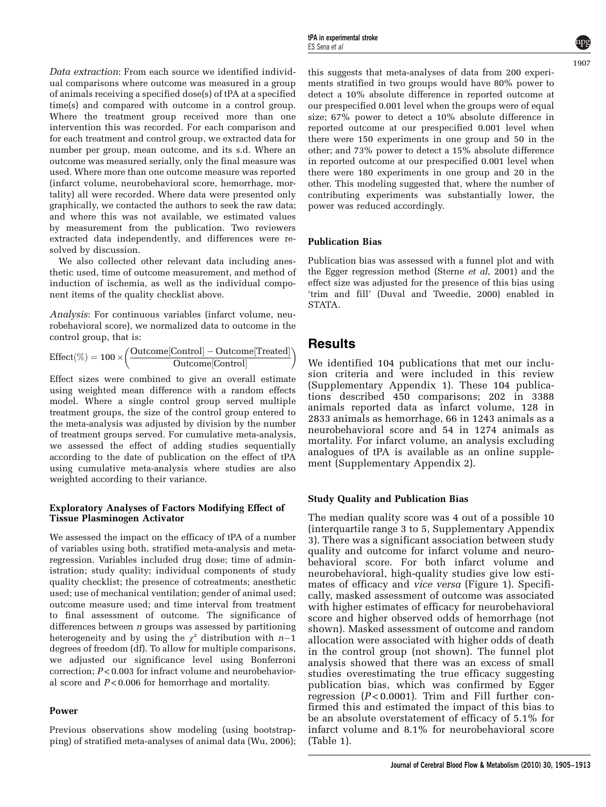Data extraction: From each source we identified individual comparisons where outcome was measured in a group of animals receiving a specified dose(s) of tPA at a specified time(s) and compared with outcome in a control group. Where the treatment group received more than one intervention this was recorded. For each comparison and for each treatment and control group, we extracted data for number per group, mean outcome, and its s.d. Where an outcome was measured serially, only the final measure was used. Where more than one outcome measure was reported (infarct volume, neurobehavioral score, hemorrhage, mortality) all were recorded. Where data were presented only graphically, we contacted the authors to seek the raw data; and where this was not available, we estimated values by measurement from the publication. Two reviewers extracted data independently, and differences were resolved by discussion.

We also collected other relevant data including anesthetic used, time of outcome measurement, and method of induction of ischemia, as well as the individual component items of the quality checklist above.

Analysis: For continuous variables (infarct volume, neurobehavioral score), we normalized data to outcome in the control group, that is:

$$
Effect(\%) = 100 \times \left(\frac{Outcome[Control] - Outcome[Tree1] } {Outcome[Control]}\right)
$$

Effect sizes were combined to give an overall estimate using weighted mean difference with a random effects model. Where a single control group served multiple treatment groups, the size of the control group entered to the meta-analysis was adjusted by division by the number of treatment groups served. For cumulative meta-analysis, we assessed the effect of adding studies sequentially according to the date of publication on the effect of tPA using cumulative meta-analysis where studies are also weighted according to their variance.

### Exploratory Analyses of Factors Modifying Effect of Tissue Plasminogen Activator

We assessed the impact on the efficacy of tPA of a number of variables using both, stratified meta-analysis and metaregression. Variables included drug dose; time of administration; study quality; individual components of study quality checklist; the presence of cotreatments; anesthetic used; use of mechanical ventilation; gender of animal used; outcome measure used; and time interval from treatment to final assessment of outcome. The significance of differences between n groups was assessed by partitioning heterogeneity and by using the  $\chi^2$  distribution with  $n-1$ degrees of freedom (df). To allow for multiple comparisons, we adjusted our significance level using Bonferroni correction; P < 0.003 for infract volume and neurobehavioral score and  $P < 0.006$  for hemorrhage and mortality.

# Power

Previous observations show modeling (using bootstrapping) of stratified meta-analyses of animal data ([Wu, 2006](#page-8-0)); this suggests that meta-analyses of data from 200 experiments stratified in two groups would have 80% power to detect a 10% absolute difference in reported outcome at our prespecified 0.001 level when the groups were of equal size; 67% power to detect a 10% absolute difference in reported outcome at our prespecified 0.001 level when there were 150 experiments in one group and 50 in the other; and 73% power to detect a 15% absolute difference in reported outcome at our prespecified 0.001 level when there were 180 experiments in one group and 20 in the other. This modeling suggested that, where the number of contributing experiments was substantially lower, the power was reduced accordingly.

### Publication Bias

Publication bias was assessed with a funnel plot and with the Egger regression method (Sterne et al[, 2001\)](#page-8-0) and the effect size was adjusted for the presence of this bias using 'trim and fill' ([Duval and Tweedie, 2000\)](#page-8-0) enabled in STATA.

# Results

We identified 104 publications that met our inclusion criteria and were included in this review (Supplementary Appendix 1). These 104 publications described 450 comparisons; 202 in 3388 animals reported data as infarct volume, 128 in 2833 animals as hemorrhage, 66 in 1243 animals as a neurobehavioral score and 54 in 1274 animals as mortality. For infarct volume, an analysis excluding analogues of tPA is available as an online supplement (Supplementary Appendix 2).

# Study Quality and Publication Bias

The median quality score was 4 out of a possible 10 (interquartile range 3 to 5, Supplementary Appendix 3). There was a significant association between study quality and outcome for infarct volume and neurobehavioral score. For both infarct volume and neurobehavioral, high-quality studies give low estimates of efficacy and vice versa [\(Figure 1](#page-3-0)). Specifically, masked assessment of outcome was associated with higher estimates of efficacy for neurobehavioral score and higher observed odds of hemorrhage (not shown). Masked assessment of outcome and random allocation were associated with higher odds of death in the control group (not shown). The funnel plot analysis showed that there was an excess of small studies overestimating the true efficacy suggesting publication bias, which was confirmed by Egger regression  $(P<0.0001)$ . Trim and Fill further confirmed this and estimated the impact of this bias to be an absolute overstatement of efficacy of 5.1% for infarct volume and 8.1% for neurobehavioral score [\(Table 1\)](#page-3-0).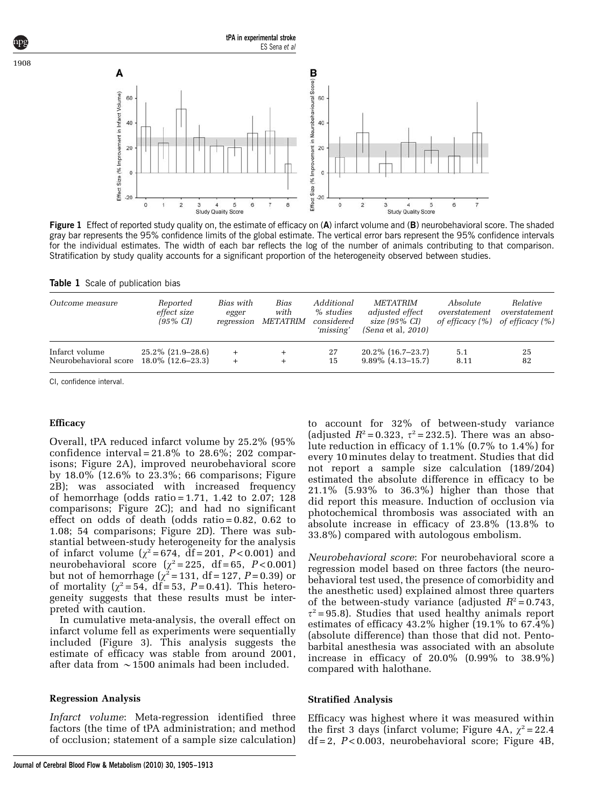tPA in experimental stroke ES Sena et al

<span id="page-3-0"></span>

Figure 1 Effect of reported study quality on, the estimate of efficacy on (A) infarct volume and (B) neurobehavioral score. The shaded gray bar represents the 95% confidence limits of the global estimate. The vertical error bars represent the 95% confidence intervals for the individual estimates. The width of each bar reflects the log of the number of animals contributing to that comparison. Stratification by study quality accounts for a significant proportion of the heterogeneity observed between studies.

Table 1 Scale of publication bias

| Outcome measure       | Reported<br>effect size<br>$(95\% \text{ CI})$ | Bias with<br>egger | Bias<br>with<br>regression METATRIM | Additional<br>$%$ studies<br>considered<br>'missing' | <b>METATRIM</b><br>adjusted effect<br>size $(95\% \text{ CI})$<br><i>(Sena</i> et al. 2010) | Absolute<br>overstatement<br>of efficacy $(\%)$ of efficacy $(\%)$ | Relative<br>overstatement |
|-----------------------|------------------------------------------------|--------------------|-------------------------------------|------------------------------------------------------|---------------------------------------------------------------------------------------------|--------------------------------------------------------------------|---------------------------|
| Infarct volume        | $25.2\%$ (21.9–28.6)                           |                    |                                     | 27                                                   | $20.2\%$ (16.7-23.7)                                                                        | 5.1                                                                | 25                        |
| Neurobehavioral score | $18.0\%$ (12.6–23.3)                           |                    |                                     | 15                                                   | $9.89\%$ $(4.13-15.7)$                                                                      | 8.11                                                               | 82                        |

CI, confidence interval.

#### **Efficacy**

Overall, tPA reduced infarct volume by 25.2% (95% confidence interval =  $21.8\%$  to  $28.6\%$ ; 202 comparisons; [Figure 2A\)](#page-4-0), improved neurobehavioral score by 18.0% (12.6% to 23.3%; 66 comparisons; [Figure](#page-4-0) [2B\)](#page-4-0); was associated with increased frequency of hemorrhage (odds ratio = 1.71, 1.42 to 2.07; 128 comparisons; [Figure 2C](#page-4-0)); and had no significant effect on odds of death (odds ratio  $= 0.82$ , 0.62 to 1.08; 54 comparisons; [Figure 2D\)](#page-4-0). There was substantial between-study heterogeneity for the analysis of infarct volume ( $\chi^2$ =674, df = 201, P<0.001) and neurobehavioral score ( $\chi^2$  = 225, df = 65, P < 0.001) but not of hemorrhage ( $\chi^2$  = 131, df = 127, P = 0.39) or of mortality ( $\chi^2 = 54$ , df = 53, P = 0.41). This heterogeneity suggests that these results must be interpreted with caution.

In cumulative meta-analysis, the overall effect on infarct volume fell as experiments were sequentially included [\(Figure 3\)](#page-5-0). This analysis suggests the estimate of efficacy was stable from around 2001, after data from  $\sim$  1500 animals had been included.

#### Regression Analysis

Infarct volume: Meta-regression identified three factors (the time of tPA administration; and method of occlusion; statement of a sample size calculation) to account for 32% of between-study variance (adjusted  $R^2 = 0.323$ ,  $\tau^2 = 232.5$ ). There was an absolute reduction in efficacy of 1.1% (0.7% to 1.4%) for every 10 minutes delay to treatment. Studies that did not report a sample size calculation (189/204) estimated the absolute difference in efficacy to be 21.1% (5.93% to 36.3%) higher than those that did report this measure. Induction of occlusion via photochemical thrombosis was associated with an absolute increase in efficacy of 23.8% (13.8% to 33.8%) compared with autologous embolism.

Neurobehavioral score: For neurobehavioral score a regression model based on three factors (the neurobehavioral test used, the presence of comorbidity and the anesthetic used) explained almost three quarters of the between-study variance (adjusted  $R^2 = 0.743$ ,  $\tau^2$  = 95.8). Studies that used healthy animals report estimates of efficacy 43.2% higher (19.1% to 67.4%) (absolute difference) than those that did not. Pentobarbital anesthesia was associated with an absolute increase in efficacy of 20.0% (0.99% to 38.9%) compared with halothane.

#### Stratified Analysis

Efficacy was highest where it was measured within the first 3 days (infarct volume; [Figure 4A](#page-5-0),  $\chi^2 = 22.4$  $df = 2$ ,  $P < 0.003$ , neurobehavioral score; [Figure 4B](#page-5-0),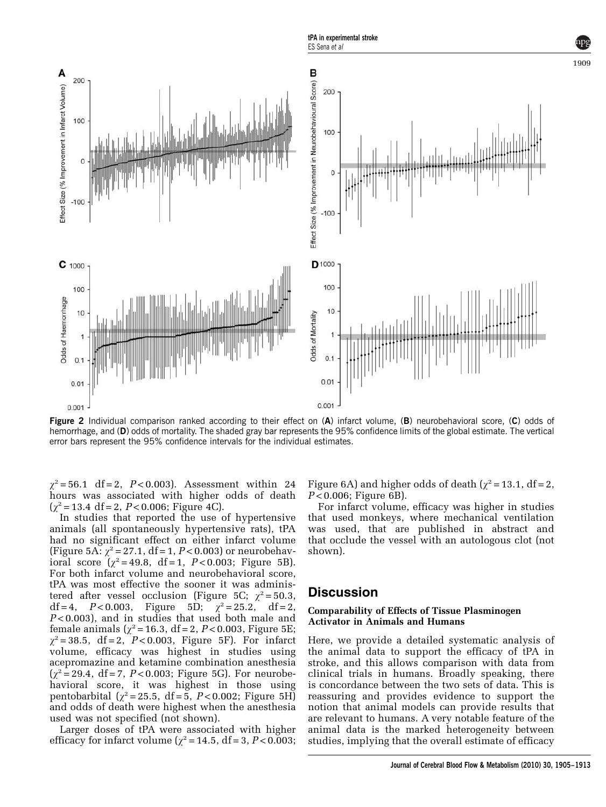<span id="page-4-0"></span>

tPA in experimental stroke

Figure 2 Individual comparison ranked according to their effect on (A) infarct volume, (B) neurobehavioral score, (C) odds of hemorrhage, and (D) odds of mortality. The shaded gray bar represents the 95% confidence limits of the global estimate. The vertical error bars represent the 95% confidence intervals for the individual estimates.

 $\chi^2 = 56.1$  df = 2, P < 0.003). Assessment within 24 hours was associated with higher odds of death  $(\chi^2 = 13.4 \text{ df} = 2, P < 0.006; \text{ Figure 4C}).$ 

In studies that reported the use of hypertensive animals (all spontaneously hypertensive rats), tPA had no significant effect on either infarct volume [\(Figure 5A:](#page-6-0)  $\chi^2$  = 27.1, df = 1, P < 0.003) or neurobehavioral score  $(\chi^2 = 49.8, df = 1, P < 0.003; Figure 5B)$  $(\chi^2 = 49.8, df = 1, P < 0.003; Figure 5B)$ . For both infarct volume and neurobehavioral score, tPA was most effective the sooner it was adminis-tered after vessel occlusion ([Figure 5C;](#page-6-0)  $\chi^2 = 50.3$ , df = 4,  $P < 0.003$ , [Figure 5D;](#page-6-0)  $\chi^2 = 25.2$ , df = 2,  $P < 0.003$ ), and in studies that used both male and female animals ( $\chi^2$  = 16.3, df = 2, P < 0.003, [Figure 5E](#page-6-0);  $\chi^2$  = 38.5, df = 2, P < 0.003, [Figure 5F](#page-6-0)). For infarct volume, efficacy was highest in studies using acepromazine and ketamine combination anesthesia  $(\chi^2 = 29.4, df = 7, P < 0.003; Figure 5G)$  $(\chi^2 = 29.4, df = 7, P < 0.003; Figure 5G)$ . For neurobehavioral score, it was highest in those using pentobarbital ( $\chi^2$  = 25.5, df = 5, P < 0.002; [Figure 5H\)](#page-6-0) and odds of death were highest when the anesthesia used was not specified (not shown).

Larger doses of tPA were associated with higher efficacy for infarct volume ( $\chi^2$  = 14.5, df = 3, P < 0.003; [Figure 6A](#page-7-0)) and higher odds of death  $(\chi^2 = 13.1, df = 2,$  $P < 0.006$ ; [Figure 6B](#page-7-0)).

For infarct volume, efficacy was higher in studies that used monkeys, where mechanical ventilation was used, that are published in abstract and that occlude the vessel with an autologous clot (not shown).

# **Discussion**

#### Comparability of Effects of Tissue Plasminogen Activator in Animals and Humans

Here, we provide a detailed systematic analysis of the animal data to support the efficacy of tPA in stroke, and this allows comparison with data from clinical trials in humans. Broadly speaking, there is concordance between the two sets of data. This is reassuring and provides evidence to support the notion that animal models can provide results that are relevant to humans. A very notable feature of the animal data is the marked heterogeneity between studies, implying that the overall estimate of efficacy

1909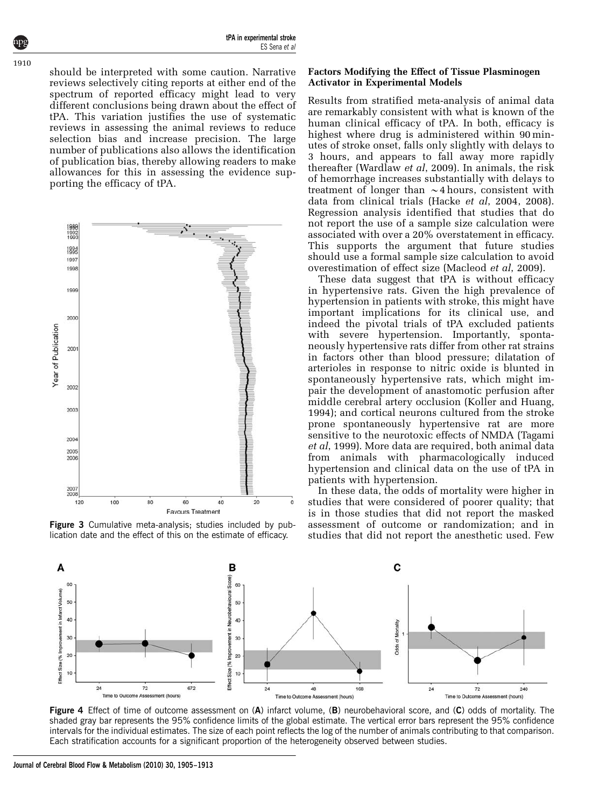should be interpreted with some caution. Narrative reviews selectively citing reports at either end of the spectrum of reported efficacy might lead to very different conclusions being drawn about the effect of tPA. This variation justifies the use of systematic reviews in assessing the animal reviews to reduce selection bias and increase precision. The large number of publications also allows the identification of publication bias, thereby allowing readers to make allowances for this in assessing the evidence supporting the efficacy of tPA.



Figure 3 Cumulative meta-analysis; studies included by publication date and the effect of this on the estimate of efficacy.

#### Factors Modifying the Effect of Tissue Plasminogen Activator in Experimental Models

Results from stratified meta-analysis of animal data are remarkably consistent with what is known of the human clinical efficacy of tPA. In both, efficacy is highest where drug is administered within 90 minutes of stroke onset, falls only slightly with delays to 3 hours, and appears to fall away more rapidly thereafter [\(Wardlaw](#page-8-0) et al, 2009). In animals, the risk of hemorrhage increases substantially with delays to treatment of longer than  $\sim$ 4 hours, consistent with data from clinical trials (Hacke et al[, 2004, 2008\)](#page-8-0). Regression analysis identified that studies that do not report the use of a sample size calculation were associated with over a 20% overstatement in efficacy. This supports the argument that future studies should use a formal sample size calculation to avoid overestimation of effect size [\(Macleod](#page-8-0) et al, 2009).

These data suggest that tPA is without efficacy in hypertensive rats. Given the high prevalence of hypertension in patients with stroke, this might have important implications for its clinical use, and indeed the pivotal trials of tPA excluded patients with severe hypertension. Importantly, spontaneously hypertensive rats differ from other rat strains in factors other than blood pressure; dilatation of arterioles in response to nitric oxide is blunted in spontaneously hypertensive rats, which might impair the development of anastomotic perfusion after middle cerebral artery occlusion ([Koller and Huang,](#page-8-0) [1994\)](#page-8-0); and cortical neurons cultured from the stroke prone spontaneously hypertensive rat are more sensitive to the neurotoxic effects of NMDA ([Tagami](#page-8-0) et al[, 1999\)](#page-8-0). More data are required, both animal data from animals with pharmacologically induced hypertension and clinical data on the use of tPA in patients with hypertension.

In these data, the odds of mortality were higher in studies that were considered of poorer quality; that is in those studies that did not report the masked assessment of outcome or randomization; and in studies that did not report the anesthetic used. Few



Figure 4 Effect of time of outcome assessment on (A) infarct volume, (B) neurobehavioral score, and (C) odds of mortality. The shaded gray bar represents the 95% confidence limits of the global estimate. The vertical error bars represent the 95% confidence intervals for the individual estimates. The size of each point reflects the log of the number of animals contributing to that comparison. Each stratification accounts for a significant proportion of the heterogeneity observed between studies.

<span id="page-5-0"></span>1910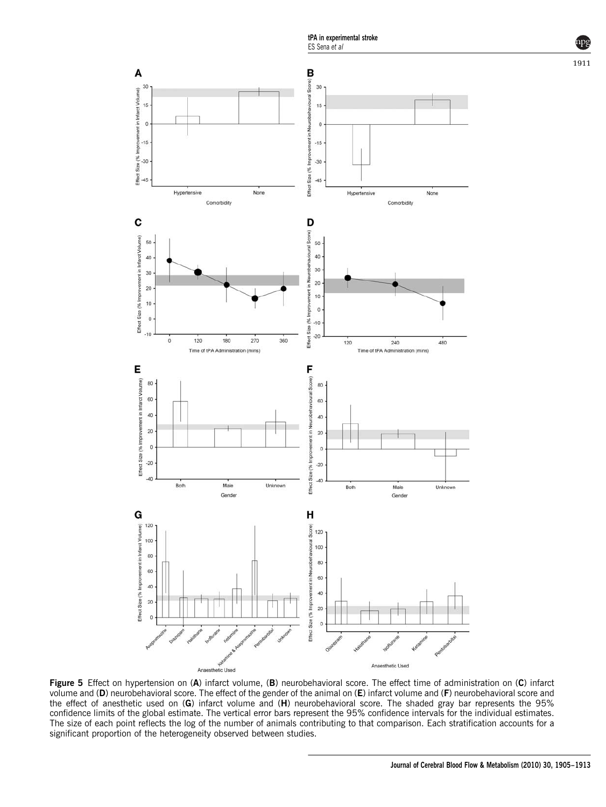<span id="page-6-0"></span>

Figure 5 Effect on hypertension on (A) infarct volume, (B) neurobehavioral score. The effect time of administration on (C) infarct volume and (D) neurobehavioral score. The effect of the gender of the animal on (E) infarct volume and (F) neurobehavioral score and the effect of anesthetic used on (G) infarct volume and (H) neurobehavioral score. The shaded gray bar represents the 95% confidence limits of the global estimate. The vertical error bars represent the 95% confidence intervals for the individual estimates. The size of each point reflects the log of the number of animals contributing to that comparison. Each stratification accounts for a significant proportion of the heterogeneity observed between studies.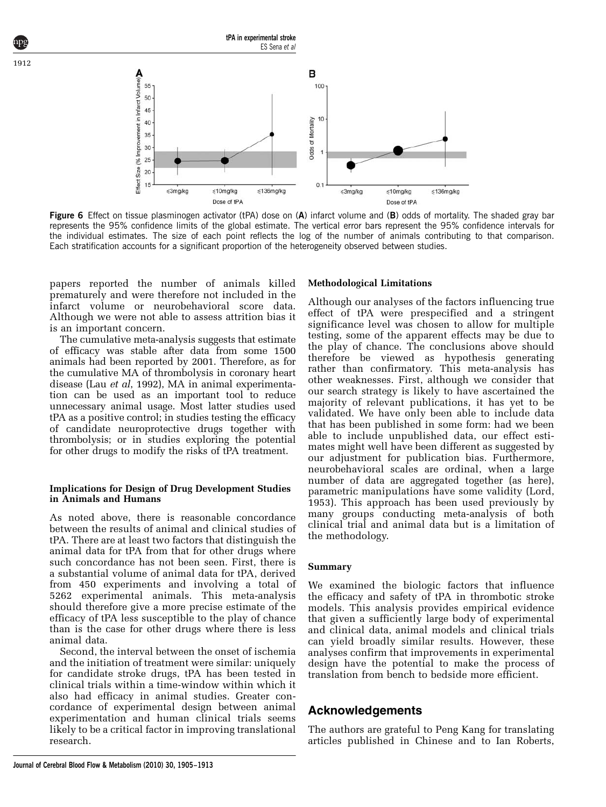<span id="page-7-0"></span>1912



Figure 6 Effect on tissue plasminogen activator (tPA) dose on (A) infarct volume and (B) odds of mortality. The shaded gray bar represents the 95% confidence limits of the global estimate. The vertical error bars represent the 95% confidence intervals for the individual estimates. The size of each point reflects the log of the number of animals contributing to that comparison. Each stratification accounts for a significant proportion of the heterogeneity observed between studies.

papers reported the number of animals killed prematurely and were therefore not included in the infarct volume or neurobehavioral score data. Although we were not able to assess attrition bias it is an important concern.

The cumulative meta-analysis suggests that estimate of efficacy was stable after data from some 1500 animals had been reported by 2001. Therefore, as for the cumulative MA of thrombolysis in coronary heart disease (Lau et al[, 1992\)](#page-8-0), MA in animal experimentation can be used as an important tool to reduce unnecessary animal usage. Most latter studies used tPA as a positive control; in studies testing the efficacy of candidate neuroprotective drugs together with thrombolysis; or in studies exploring the potential for other drugs to modify the risks of tPA treatment.

#### Implications for Design of Drug Development Studies in Animals and Humans

As noted above, there is reasonable concordance between the results of animal and clinical studies of tPA. There are at least two factors that distinguish the animal data for tPA from that for other drugs where such concordance has not been seen. First, there is a substantial volume of animal data for tPA, derived from 450 experiments and involving a total of 5262 experimental animals. This meta-analysis should therefore give a more precise estimate of the efficacy of tPA less susceptible to the play of chance than is the case for other drugs where there is less animal data.

Second, the interval between the onset of ischemia and the initiation of treatment were similar: uniquely for candidate stroke drugs, tPA has been tested in clinical trials within a time-window within which it also had efficacy in animal studies. Greater concordance of experimental design between animal experimentation and human clinical trials seems likely to be a critical factor in improving translational research.

# Methodological Limitations

Although our analyses of the factors influencing true effect of tPA were prespecified and a stringent significance level was chosen to allow for multiple testing, some of the apparent effects may be due to the play of chance. The conclusions above should therefore be viewed as hypothesis generating rather than confirmatory. This meta-analysis has other weaknesses. First, although we consider that our search strategy is likely to have ascertained the majority of relevant publications, it has yet to be validated. We have only been able to include data that has been published in some form: had we been able to include unpublished data, our effect estimates might well have been different as suggested by our adjustment for publication bias. Furthermore, neurobehavioral scales are ordinal, when a large number of data are aggregated together (as here), parametric manipulations have some validity [\(Lord,](#page-8-0) [1953\)](#page-8-0). This approach has been used previously by many groups conducting meta-analysis of both clinical trial and animal data but is a limitation of the methodology.

#### Summary

We examined the biologic factors that influence the efficacy and safety of tPA in thrombotic stroke models. This analysis provides empirical evidence that given a sufficiently large body of experimental and clinical data, animal models and clinical trials can yield broadly similar results. However, these analyses confirm that improvements in experimental design have the potential to make the process of translation from bench to bedside more efficient.

# Acknowledgements

The authors are grateful to Peng Kang for translating articles published in Chinese and to Ian Roberts,